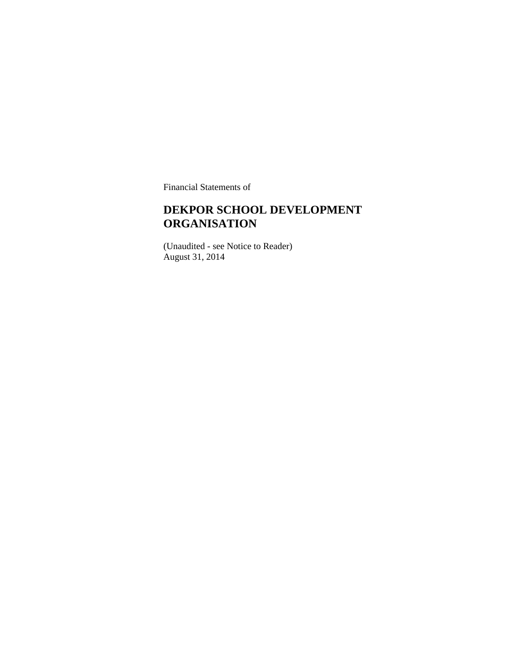Financial Statements of

#### **DEKPOR SCHOOL DEVELOPMENT ORGANISATION**

(Unaudited - see Notice to Reader) August 31, 2014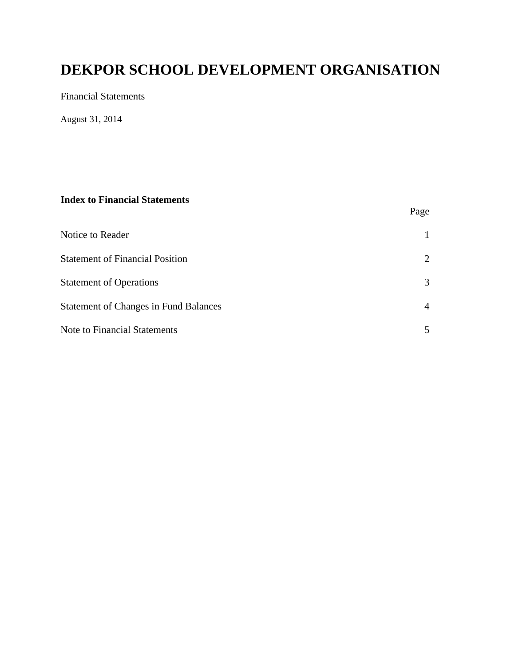Financial Statements

August 31, 2014

#### **Index to Financial Statements**

|                                              | <u>Page</u>    |
|----------------------------------------------|----------------|
| Notice to Reader                             |                |
| <b>Statement of Financial Position</b>       | 2              |
| <b>Statement of Operations</b>               | 3              |
| <b>Statement of Changes in Fund Balances</b> | $\overline{4}$ |
| <b>Note to Financial Statements</b>          | 5              |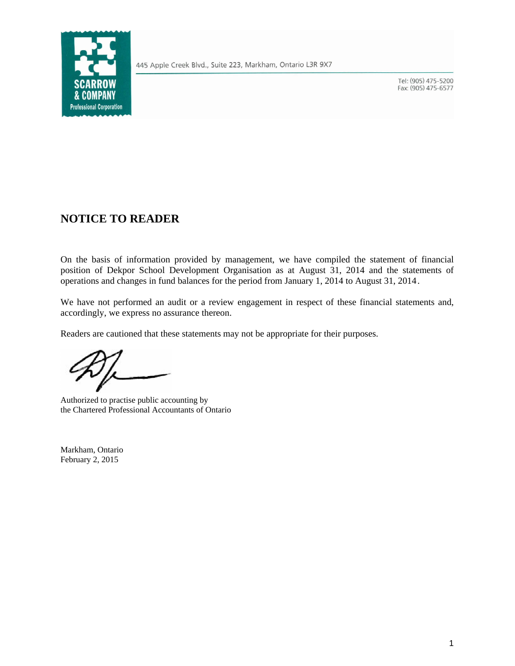

445 Apple Creek Blvd., Suite 223, Markham, Ontario L3R 9X7

Tel: (905) 475-5200 Fax: (905) 475-6577

#### **NOTICE TO READER**

On the basis of information provided by management, we have compiled the statement of financial position of Dekpor School Development Organisation as at August 31, 2014 and the statements of operations and changes in fund balances for the period from January 1, 2014 to August 31, 2014.

We have not performed an audit or a review engagement in respect of these financial statements and, accordingly, we express no assurance thereon.

Readers are cautioned that these statements may not be appropriate for their purposes.

Authorized to practise public accounting by the Chartered Professional Accountants of Ontario

Markham, Ontario February 2, 2015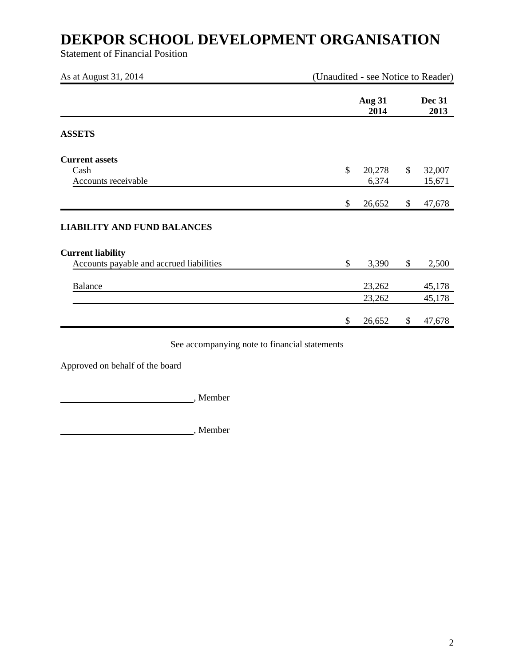Statement of Financial Position

| As at August 31, 2014                                                | (Unaudited - see Notice to Reader) |                       |    |                       |
|----------------------------------------------------------------------|------------------------------------|-----------------------|----|-----------------------|
|                                                                      |                                    | <b>Aug 31</b><br>2014 |    | <b>Dec 31</b><br>2013 |
| <b>ASSETS</b>                                                        |                                    |                       |    |                       |
| <b>Current assets</b><br>Cash<br>Accounts receivable                 | \$                                 | 20,278<br>6,374       | \$ | 32,007<br>15,671      |
|                                                                      | \$                                 | 26,652                | \$ | 47,678                |
| <b>LIABILITY AND FUND BALANCES</b>                                   |                                    |                       |    |                       |
| <b>Current liability</b><br>Accounts payable and accrued liabilities | \$                                 | 3,390                 | \$ | 2,500                 |
| <b>Balance</b>                                                       |                                    | 23,262                |    | 45,178                |
|                                                                      |                                    | 23,262                |    | 45,178                |
|                                                                      | \$                                 | 26,652                | \$ | 47,678                |

See accompanying note to financial statements

Approved on behalf of the board

, Member

**Member**, Member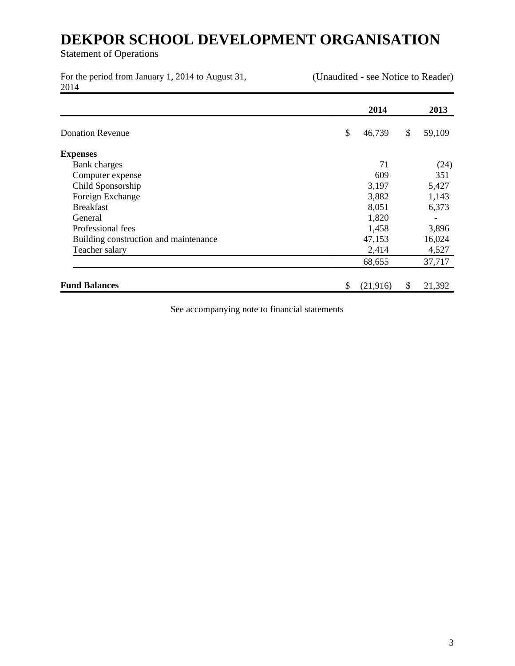Statement of Operations

For the period from January 1, 2014 to August 31, 2014

(Unaudited - see Notice to Reader)

|                                       | 2014           | 2013         |
|---------------------------------------|----------------|--------------|
| <b>Donation Revenue</b>               | \$<br>46,739   | \$<br>59,109 |
| <b>Expenses</b>                       |                |              |
| <b>Bank</b> charges                   | 71             | (24)         |
| Computer expense                      | 609            | 351          |
| Child Sponsorship                     | 3,197          | 5,427        |
| Foreign Exchange                      | 3,882          | 1,143        |
| <b>Breakfast</b>                      | 8,051          | 6,373        |
| General                               | 1,820          |              |
| Professional fees                     | 1,458          | 3,896        |
| Building construction and maintenance | 47,153         | 16,024       |
| Teacher salary                        | 2,414          | 4,527        |
|                                       | 68,655         | 37,717       |
| <b>Fund Balances</b>                  | \$<br>(21,916) | \$<br>21,392 |

See accompanying note to financial statements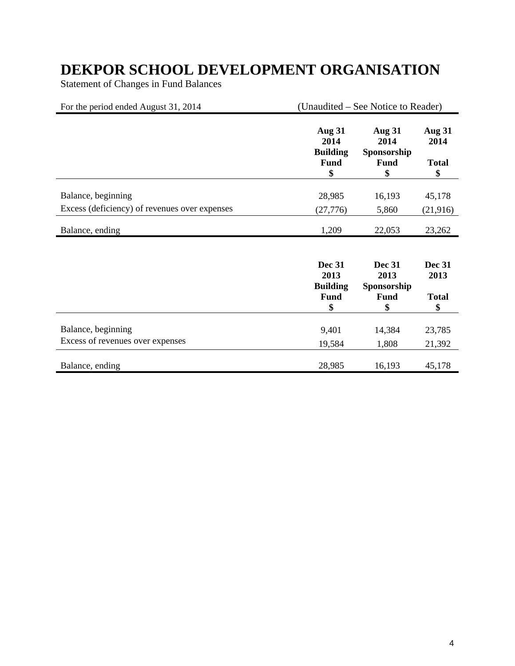Statement of Changes in Fund Balances

| For the period ended August 31, 2014          |                                                               | (Unaudited – See Notice to Reader)                        |                                             |  |
|-----------------------------------------------|---------------------------------------------------------------|-----------------------------------------------------------|---------------------------------------------|--|
|                                               | <b>Aug 31</b><br>2014<br><b>Building</b><br><b>Fund</b><br>\$ | <b>Aug 31</b><br>2014<br>Sponsorship<br><b>Fund</b><br>\$ | <b>Aug 31</b><br>2014<br><b>Total</b><br>\$ |  |
| Balance, beginning                            | 28,985                                                        | 16,193                                                    | 45,178                                      |  |
| Excess (deficiency) of revenues over expenses | (27, 776)                                                     | 5,860                                                     | (21, 916)                                   |  |
| Balance, ending                               | 1,209                                                         | 22,053                                                    | 23,262                                      |  |
|                                               | <b>Dec 31</b><br>2013<br><b>Building</b>                      | <b>Dec 31</b><br>2013<br>Sponsorship                      | <b>Dec 31</b><br>2013                       |  |
|                                               | <b>Fund</b><br>\$                                             | <b>Fund</b><br>\$                                         | <b>Total</b><br>\$                          |  |
| Balance, beginning                            | 9,401                                                         | 14,384                                                    | 23,785                                      |  |
| Excess of revenues over expenses              | 19,584                                                        | 1,808                                                     | 21,392                                      |  |
| Balance, ending                               | 28,985                                                        | 16,193                                                    | 45,178                                      |  |